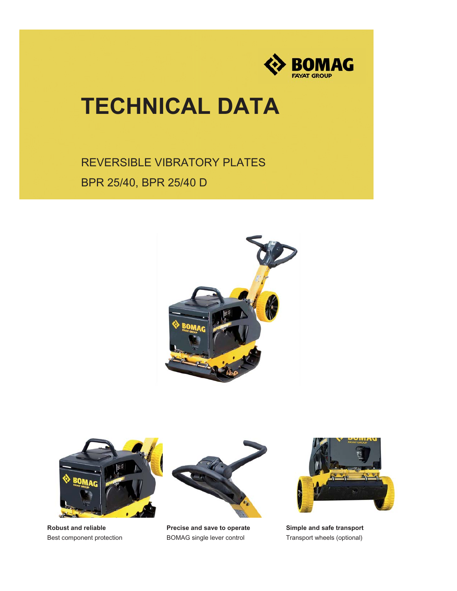

## **TECHNICAL DATA**

REVERSIBLE VIBRATORY PLATES BPR 25/40, BPR 25/40 D





**Robust and reliable** Best component protection



**Precise and save to operate** BOMAG single lever control



**Simple and safe transport** Transport wheels (optional)